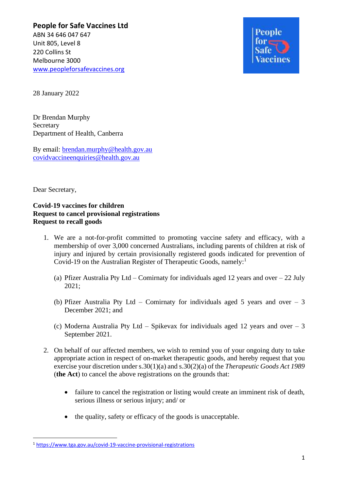**People for Safe Vaccines Ltd** ABN 34 646 047 647 Unit 805, Level 8 220 Collins St Melbourne 3000 [www.peopleforsafevaccines.org](http://www.peopleforsafevaccines.org/)



28 January 2022

Dr Brendan Murphy **Secretary** Department of Health, Canberra

By email: [brendan.murphy@health.gov.au](mailto:brendan.murphy@health.gov.au) [covidvaccineenquiries@health.gov.au](mailto:covidvaccineenquiries@health.gov.au)

Dear Secretary,

## **Covid-19 vaccines for children Request to cancel provisional registrations Request to recall goods**

- 1. We are a not-for-profit committed to promoting vaccine safety and efficacy, with a membership of over 3,000 concerned Australians, including parents of children at risk of injury and injured by certain provisionally registered goods indicated for prevention of Covid-19 on the Australian Register of Therapeutic Goods, namely:<sup>1</sup>
	- (a) Pfizer Australia Pty Ltd Comirnaty for individuals aged 12 years and over 22 July 2021;
	- (b) Pfizer Australia Pty Ltd Comirnaty for individuals aged 5 years and over  $-3$ December 2021; and
	- (c) Moderna Australia Pty Ltd Spikevax for individuals aged 12 years and over 3 September 2021.
- 2. On behalf of our affected members, we wish to remind you of your ongoing duty to take appropriate action in respect of on-market therapeutic goods, and hereby request that you exercise your discretion under s.30(1)(a) and s.30(2)(a) of the *Therapeutic Goods Act 1989* (**the Act**) to cancel the above registrations on the grounds that:
	- failure to cancel the registration or listing would create an imminent risk of death, serious illness or serious injury; and/ or
	- the quality, safety or efficacy of the goods is unacceptable.

<sup>1</sup> <https://www.tga.gov.au/covid-19-vaccine-provisional-registrations>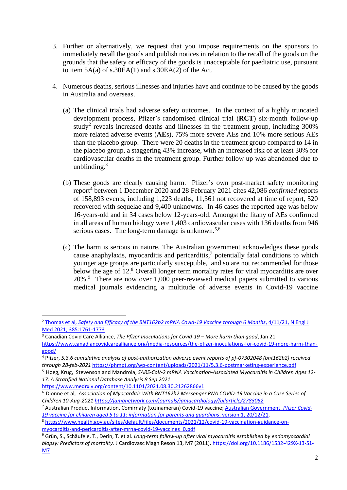- 3. Further or alternatively, we request that you impose requirements on the sponsors to immediately recall the goods and publish notices in relation to the recall of the goods on the grounds that the safety or efficacy of the goods is unacceptable for paediatric use, pursuant to item  $5A(a)$  of s.30EA(1) and s.30EA(2) of the Act.
- 4. Numerous deaths, serious illnesses and injuries have and continue to be caused by the goods in Australia and overseas.
	- (a) The clinical trials had adverse safety outcomes. In the context of a highly truncated development process, Pfizer's randomised clinical trial (**RCT**) six-month follow-up study<sup>2</sup> reveals increased deaths and illnesses in the treatment group, including 300% more related adverse events (**AE**s), 75% more severe AEs and 10% more serious AEs than the placebo group. There were 20 deaths in the treatment group compared to 14 in the placebo group, a staggering 43% increase, with an increased risk of at least 30% for cardiovascular deaths in the treatment group. Further follow up was abandoned due to unblinding. $3$
	- (b) These goods are clearly causing harm. Pfizer's own post-market safety monitoring report<sup>4</sup> between 1 December 2020 and 28 February 2021 cites 42,086 *confirmed* reports of 158,893 events, including 1,223 deaths, 11,361 not recovered at time of report, 520 recovered with sequelae and 9,400 unknowns. In 46 cases the reported age was below 16-years-old and in 34 cases below 12-years-old. Amongst the litany of AEs confirmed in all areas of human biology were 1,403 cardiovascular cases with 136 deaths from 946 serious cases. The long-term damage is unknown.<sup>5,6</sup>
	- (c) The harm is serious in nature. The Australian government acknowledges these goods cause anaphylaxis, myocarditis and pericarditis, $\frac{7}{7}$  potentially fatal conditions to which younger age groups are particularly susceptible, and so are not recommended for those below the age of 12.<sup>8</sup> Overall longer term mortality rates for viral myocarditis are over 20%.<sup>9</sup> There are now over 1,000 peer-reviewed medical papers submitted to various medical journals evidencing a multitude of adverse events in Covid-19 vaccine

<sup>2</sup> Thomas et al, *[Safety and Efficacy of the BNT162b2 mRNA Covid-19 Vaccine through 6 Months](https://www.nejm.org/doi/full/10.1056/NEJMoa2110345)*, 4/11/21, N Engl J [Med 2021; 385:1761-1773](https://www.nejm.org/doi/full/10.1056/NEJMoa2110345)

<sup>3</sup> Canadian Covid Care Alliance, *The Pfizer Inoculations for Covid-19 – More harm than good*, Jan 21 [https://www.canadiancovidcarealliance.org/media-resources/the-pfizer-inoculations-for-covid-19-more-harm-than](https://www.canadiancovidcarealliance.org/media-resources/the-pfizer-inoculations-for-covid-19-more-harm-than-good/)[good/](https://www.canadiancovidcarealliance.org/media-resources/the-pfizer-inoculations-for-covid-19-more-harm-than-good/)

<sup>4</sup> Pfizer, *5.3.6 cumulative analysis of post-authorization adverse event reports of pf-07302048 (bnt162b2) received through 28-feb-2021* <https://phmpt.org/wp-content/uploads/2021/11/5.3.6-postmarketing-experience.pdf>

<sup>5</sup> Høeg, Krug, Stevenson and Mandrola, *SARS-CoV-2 mRNA Vaccination-Associated Myocarditis in Children Ages 12- 17: A Stratified National Database Analysis 8 Sep 2021*

<https://www.medrxiv.org/content/10.1101/2021.08.30.21262866v1>

<sup>6</sup> Dionne et al, *Association of Myocarditis With BNT162b2 Messenger RNA COVID-19 Vaccine in a Case Series of Children 10-Aug-202[1 https://jamanetwork.com/journals/jamacardiology/fullarticle/2783052](https://jamanetwork.com/journals/jamacardiology/fullarticle/2783052)*

<sup>7</sup> Australian Product Information, Comirnaty (tozinameran) Covid-19 vaccine; [Australian Government,](https://www.health.gov.au/resources/publications/covid-19-vaccination-information-and-consent-form-for-parents-and-guardians-of-children-aged-5-to-11-years) *Pfizer Covid-[19 vaccine for children aged 5 to 11: information for parents and guardians](https://www.health.gov.au/resources/publications/covid-19-vaccination-information-and-consent-form-for-parents-and-guardians-of-children-aged-5-to-11-years)*, version 1, 20/12/21.

<sup>8</sup> [https://www.health.gov.au/sites/default/files/documents/2021/12/covid-19-vaccination-guidance-on](https://www.health.gov.au/sites/default/files/documents/2021/12/covid-19-vaccination-guidance-on-myocarditis-and-pericarditis-after-mrna-covid-19-vaccines_0.pdf)[myocarditis-and-pericarditis-after-mrna-covid-19-vaccines\\_0.pdf](https://www.health.gov.au/sites/default/files/documents/2021/12/covid-19-vaccination-guidance-on-myocarditis-and-pericarditis-after-mrna-covid-19-vaccines_0.pdf)

<sup>9</sup> Grün, S., Schäufele, T., Derin, T. et al. *Long-term follow-up after viral myocarditis established by endomyocardial biopsy: Predictors of mortality*. J Cardiovasc Magn Reson 13, M7 (2011). [https://doi.org/10.1186/1532-429X-13-S1-](https://doi.org/10.1186/1532-429X-13-S1-M7) [M7](https://doi.org/10.1186/1532-429X-13-S1-M7)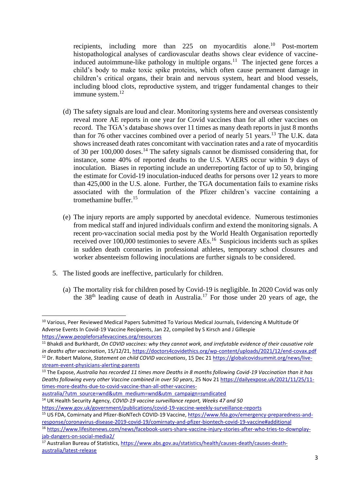recipients, including more than 225 on myocarditis alone.<sup>10</sup> Post-mortem histopathological analyses of cardiovascular deaths shows clear evidence of vaccineinduced autoimmune-like pathology in multiple organs.<sup>11</sup> The injected gene forces a child's body to make toxic spike proteins, which often cause permanent damage in children's critical organs, their brain and nervous system, heart and blood vessels, including blood clots, reproductive system, and trigger fundamental changes to their immune system.<sup>12</sup>

- (d) The safety signals are loud and clear. Monitoring systems here and overseas consistently reveal more AE reports in one year for Covid vaccines than for all other vaccines on record. The TGA's database shows over 11 times as many death reports in just 8 months than for 76 other vaccines combined over a period of nearly 51 years.<sup>13</sup> The U.K. data shows increased death rates concomitant with vaccination rates and a rate of myocarditis of 30 per 100,000 doses.<sup>14</sup> The safety signals cannot be dismissed considering that, for instance, some 40% of reported deaths to the U.S. VAERS occur within 9 days of inoculation. Biases in reporting include an underreporting factor of up to 50, bringing the estimate for Covid-19 inoculation-induced deaths for persons over 12 years to more than 425,000 in the U.S. alone. Further, the TGA documentation fails to examine risks associated with the formulation of the Pfizer children's vaccine containing a tromethamine buffer. 15
- (e) The injury reports are amply supported by anecdotal evidence. Numerous testimonies from medical staff and injured individuals confirm and extend the monitoring signals. A recent pro-vaccination social media post by the World Health Organisation reportedly received over 100,000 testimonies to severe AEs.<sup>16</sup> Suspicious incidents such as spikes in sudden death coronaries in professional athletes, temporary school closures and worker absenteeism following inoculations are further signals to be considered.
- 5. The listed goods are ineffective, particularly for children.
	- (a) The mortality risk for children posed by Covid-19 is negligible. In 2020 Covid was only the 38th leading cause of death in Australia.<sup>17</sup> For those under 20 years of age, the

<sup>11</sup> Bhakdi and Burkhardt, *On COVID vaccines: why they cannot work, and irrefutable evidence of their causative role in deaths after vaccination*, 15/12/21[, https://doctors4covidethics.org/wp-content/uploads/2021/12/end-covax.pdf](https://doctors4covidethics.org/wp-content/uploads/2021/12/end-covax.pdf)  <sup>12</sup> Dr. Robert Malone, *Statement on child COVID vaccinations*, 15 Dec 21 [https://globalcovidsummit.org/news/live](https://globalcovidsummit.org/news/live-stream-event-physicians-alerting-parents)[stream-event-physicians-alerting-parents](https://globalcovidsummit.org/news/live-stream-event-physicians-alerting-parents) 

[australia/?utm\\_source=wnd&utm\\_medium=wnd&utm\\_campaign=syndicated](https://dailyexpose.uk/2021/11/25/11-times-more-deaths-due-to-covid-vaccine-than-all-other-vaccines-australia/?utm_source=wnd&utm_medium=wnd&utm_campaign=syndicated) 

<sup>14</sup> UK Health Security Agency, *COVID-19 vaccine surveillance report, Weeks 47 and 50*

<https://www.gov.uk/government/publications/covid-19-vaccine-weekly-surveillance-reports>

<sup>&</sup>lt;sup>10</sup> Various, Peer Reviewed Medical Papers Submitted To Various Medical Journals, Evidencing A Multitude Of Adverse Events In Covid-19 Vaccine Recipients, Jan 22, compiled by S Kirsch and J Gillespie <https://www.peopleforsafevaccines.org/resources>

<sup>13</sup> The Expose, *Australia has recorded 11 times more Deaths in 8 months following Covid-19 Vaccination than it has Deaths following every other Vaccine combined in over 50 years*, 25 Nov 2[1 https://dailyexpose.uk/2021/11/25/11](https://dailyexpose.uk/2021/11/25/11-times-more-deaths-due-to-covid-vaccine-than-all-other-vaccines-australia/?utm_source=wnd&utm_medium=wnd&utm_campaign=syndicated) [times-more-deaths-due-to-covid-vaccine-than-all-other-vaccines-](https://dailyexpose.uk/2021/11/25/11-times-more-deaths-due-to-covid-vaccine-than-all-other-vaccines-australia/?utm_source=wnd&utm_medium=wnd&utm_campaign=syndicated)

<sup>15</sup> US FDA, Comirnaty and Pfizer-BioNTech COVID-19 Vaccine, [https://www.fda.gov/emergency-preparedness-and](https://www.fda.gov/emergency-preparedness-and-response/coronavirus-disease-2019-covid-19/comirnaty-and-pfizer-biontech-covid-19-vaccine#additional)[response/coronavirus-disease-2019-covid-19/comirnaty-and-pfizer-biontech-covid-19-vaccine#additional](https://www.fda.gov/emergency-preparedness-and-response/coronavirus-disease-2019-covid-19/comirnaty-and-pfizer-biontech-covid-19-vaccine#additional)

<sup>16</sup> [https://www.lifesitenews.com/news/facebook-users-share-vaccine-injury-stories-after-who-tries-to-downplay](https://www.lifesitenews.com/news/facebook-users-share-vaccine-injury-stories-after-who-tries-to-downplay-jab-dangers-on-social-media2/)[jab-dangers-on-social-media2/](https://www.lifesitenews.com/news/facebook-users-share-vaccine-injury-stories-after-who-tries-to-downplay-jab-dangers-on-social-media2/)

<sup>&</sup>lt;sup>17</sup> Australian Bureau of Statistics, [https://www.abs.gov.au/statistics/health/causes-death/causes-death](https://www.abs.gov.au/statistics/health/causes-death/causes-death-australia/latest-release)[australia/latest-release](https://www.abs.gov.au/statistics/health/causes-death/causes-death-australia/latest-release)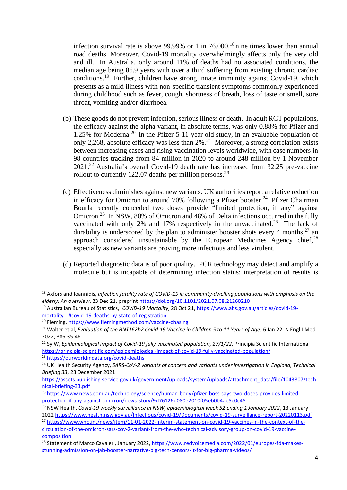infection survival rate is above 99.99% or 1 in  $76,000$ ,<sup>18</sup> nine times lower than annual road deaths. Moreover, Covid-19 mortality overwhelmingly affects only the very old and ill. In Australia, only around 11% of deaths had no associated conditions, the median age being 86.9 years with over a third suffering from existing chronic cardiac conditions.<sup>19</sup> Further, children have strong innate immunity against Covid-19, which presents as a mild illness with non-specific transient symptoms commonly experienced during childhood such as fever, cough, shortness of breath, loss of taste or smell, sore throat, vomiting and/or diarrhoea.

- (b) These goods do not prevent infection, serious illness or death. In adult RCT populations, the efficacy against the alpha variant, in absolute terms, was only 0.88% for Pfizer and 1.25% for Moderna. <sup>20</sup> In the Pfizer 5-11 year old study, in an evaluable population of only 2,268, absolute efficacy was less than 2%.<sup>21</sup> Moreover, a strong correlation exists between increasing cases and rising vaccination levels worldwide, with case numbers in 98 countries tracking from 84 million in 2020 to around 248 million by 1 November 2021.<sup>22</sup> Australia's overall Covid-19 death rate has increased from 32.25 pre-vaccine rollout to currently 122.07 deaths per million persons.<sup>23</sup>
- (c) Effectiveness diminishes against new variants. UK authorities report a relative reduction in efficacy for Omicron to around 70% following a Pfizer booster.<sup>24</sup> Pfizer Chairman Bourla recently conceded two doses provide "limited protection, if any" against Omicron.<sup>25</sup> In NSW, 80% of Omicron and 48% of Delta infections occurred in the fully vaccinated with only 2% and 17% respectively in the unvaccinated.<sup>26</sup> The lack of durability is underscored by the plan to administer booster shots every 4 months,  $27$  an approach considered unsustainable by the European Medicines Agency chief.<sup>28</sup> especially as new variants are proving more infectious and less virulent.
- (d) Reported diagnostic data is of poor quality. PCR technology may detect and amplify a molecule but is incapable of determining infection status; interpretation of results is

<sup>18</sup> Axfors and Ioannidis, *Infection fatality rate of COVID-19 in community-dwelling populations with emphasis on the elderly: An overview*, 23 Dec 21, preprint<https://doi.org/10.1101/2021.07.08.21260210>

<sup>19</sup> Australian Bureau of Statistics, *COVID-19 Mortality*, 28 Oct 21[, https://www.abs.gov.au/articles/covid-19](https://www.abs.gov.au/articles/covid-19-mortality-1#covid-19-deaths-by-state-of-registration) [mortality-1#covid-19-deaths-by-state-of-registration](https://www.abs.gov.au/articles/covid-19-mortality-1#covid-19-deaths-by-state-of-registration) 

<sup>20</sup> Fleming[, https://www.flemingmethod.com/vaccine-chasing](https://www.flemingmethod.com/vaccine-chasing)

<sup>&</sup>lt;sup>21</sup> Walter et al, *Evaluation of the BNT162b2 Covid-19 Vaccine in Children 5 to 11 Years of Age*, 6 Jan 22, N Engl J Med 2022; 386:35-46

<sup>22</sup> Sy W, *Epidemiological impact of Covid-19 fully vaccinated population, 27/1/22*, Principia Scientific International <https://principia-scientific.com/epidemiological-impact-of-covid-19-fully-vaccinated-population/> <sup>23</sup> <https://ourworldindata.org/covid-deaths>

<sup>24</sup> UK Health Security Agency, *SARS-CoV-2 variants of concern and variants under investigation in England, Technical Briefing 33*, 23 December 2021

[https://assets.publishing.service.gov.uk/government/uploads/system/uploads/attachment\\_data/file/1043807/tech](https://assets.publishing.service.gov.uk/government/uploads/system/uploads/attachment_data/file/1043807/technical-briefing-33.pdf) [nical-briefing-33.pdf](https://assets.publishing.service.gov.uk/government/uploads/system/uploads/attachment_data/file/1043807/technical-briefing-33.pdf)

<sup>25</sup> [https://www.news.com.au/technology/science/human-body/pfizer-boss-says-two-doses-provides-limited](https://www.news.com.au/technology/science/human-body/pfizer-boss-says-two-doses-provides-limited-protection-if-any-against-omicron/news-story/9d76126d080e2010f05eb0b4ae5e0c45)[protection-if-any-against-omicron/news-story/9d76126d080e2010f05eb0b4ae5e0c45](https://www.news.com.au/technology/science/human-body/pfizer-boss-says-two-doses-provides-limited-protection-if-any-against-omicron/news-story/9d76126d080e2010f05eb0b4ae5e0c45)

<sup>&</sup>lt;sup>26</sup> NSW Health, *Covid-19 weekly surveillance in NSW, epidemiological week 52 ending 1 January 2022, 13 January* 202[2 https://www.health.nsw.gov.au/Infectious/covid-19/Documents/covid-19-surveillance-report-20220113.pdf](https://www.health.nsw.gov.au/Infectious/covid-19/Documents/covid-19-surveillance-report-20220113.pdf)

<sup>27</sup> [https://www.who.int/news/item/11-01-2022-interim-statement-on-covid-19-vaccines-in-the-context-of-the](https://www.who.int/news/item/11-01-2022-interim-statement-on-covid-19-vaccines-in-the-context-of-the-circulation-of-the-omicron-sars-cov-2-variant-from-the-who-technical-advisory-group-on-covid-19-vaccine-composition)[circulation-of-the-omicron-sars-cov-2-variant-from-the-who-technical-advisory-group-on-covid-19-vaccine](https://www.who.int/news/item/11-01-2022-interim-statement-on-covid-19-vaccines-in-the-context-of-the-circulation-of-the-omicron-sars-cov-2-variant-from-the-who-technical-advisory-group-on-covid-19-vaccine-composition)[composition](https://www.who.int/news/item/11-01-2022-interim-statement-on-covid-19-vaccines-in-the-context-of-the-circulation-of-the-omicron-sars-cov-2-variant-from-the-who-technical-advisory-group-on-covid-19-vaccine-composition)

<sup>&</sup>lt;sup>28</sup> Statement of Marco Cavaleri, January 2022[, https://www.redvoicemedia.com/2022/01/europes-fda-makes](https://www.redvoicemedia.com/2022/01/europes-fda-makes-stunning-admission-on-jab-booster-narrative-big-tech-censors-it-for-big-pharma-videos/)[stunning-admission-on-jab-booster-narrative-big-tech-censors-it-for-big-pharma-videos/](https://www.redvoicemedia.com/2022/01/europes-fda-makes-stunning-admission-on-jab-booster-narrative-big-tech-censors-it-for-big-pharma-videos/)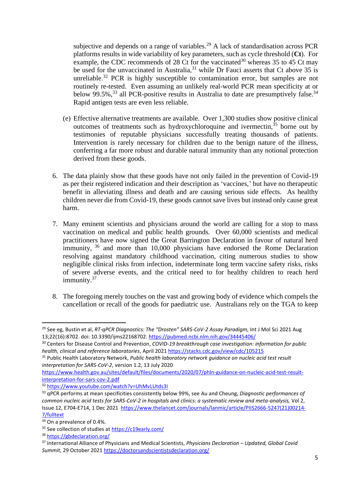subjective and depends on a range of variables.<sup>29</sup> A lack of standardisation across PCR platforms results in wide variability of key parameters, such as cycle threshold (**Ct**). For example, the CDC recommends of 28 Ct for the vaccinated<sup>30</sup> whereas 35 to 45 Ct may be used for the unvaccinated in Australia,<sup>31</sup> while Dr Fauci asserts that Ct above 35 is unreliable.<sup>32</sup> PCR is highly susceptible to contamination error, but samples are not routinely re-tested. Even assuming an unlikely real-world PCR mean specificity at or below 99.5%,<sup>33</sup> all PCR-positive results in Australia to date are presumptively false.<sup>34</sup> Rapid antigen tests are even less reliable.

- (e) Effective alternative treatments are available. Over 1,300 studies show positive clinical outcomes of treatments such as hydroxychloroquine and ivermectin, <sup>35</sup> borne out by testimonies of reputable physicians successfully treating thousands of patients. Intervention is rarely necessary for children due to the benign nature of the illness, conferring a far more robust and durable natural immunity than any notional protection derived from these goods.
- 6. The data plainly show that these goods have not only failed in the prevention of Covid-19 as per their registered indication and their description as 'vaccines,' but have no therapeutic benefit in alleviating illness and death and are causing serious side effects. As healthy children never die from Covid-19, these goods cannot save lives but instead only cause great harm.
- 7. Many eminent scientists and physicians around the world are calling for a stop to mass vaccination on medical and public health grounds. Over 60,000 scientists and medical practitioners have now signed the Great Barrington Declaration in favour of natural herd immunity, <sup>36</sup> and more than 10,000 physicians have endorsed the Rome Declaration resolving against mandatory childhood vaccination, citing numerous studies to show negligible clinical risks from infection, indeterminate long term vaccine safety risks, risks of severe adverse events, and the critical need to for healthy children to reach herd immunity.<sup>37</sup>
- 8. The foregoing merely touches on the vast and growing body of evidence which compels the cancellation or recall of the goods for paediatric use. Australians rely on the TGA to keep

<sup>29</sup> See eg, Bustin et al, *RT-qPCR Diagnostics: The "Drosten" SARS-CoV-2 Assay Paradigm,* Int J Mol Sci 2021 Aug 13;22(16):8702. doi: 10.3390/ijms22168702. <https://pubmed.ncbi.nlm.nih.gov/34445406/>

<sup>30</sup> Centers for Disease Control and Prevention, *COVID-19 breakthrough case investigation: information for public health, clinical and reference laboratories*, April 2021 <https://stacks.cdc.gov/view/cdc/105215>

<sup>31</sup> Public Health Laboratory Network, *Public health laboratory network guidance on nucleic acid test result interpretation for SARS-CoV-2*, version 1.2, 13 July 2020

[https://www.health.gov.au/sites/default/files/documents/2020/07/phln-guidance-on-nucleic-acid-test-result](https://www.health.gov.au/sites/default/files/documents/2020/07/phln-guidance-on-nucleic-acid-test-result-interpretation-for-sars-cov-2.pdf)[interpretation-for-sars-cov-2.pdf](https://www.health.gov.au/sites/default/files/documents/2020/07/phln-guidance-on-nucleic-acid-test-result-interpretation-for-sars-cov-2.pdf)

<sup>32</sup> <https://www.youtube.com/watch?v=UhMvLUtds3I>

<sup>33</sup> qPCR performs at mean specificities consistently below 99%, see Au and Cheung, *Diagnostic performances of common nucleic acid tests for SARS-CoV-2 in hospitals and clinics: a systematic review and meta-analysis,* Vol 2, Issue 12, E704-E714, 1 Dec 2021 [https://www.thelancet.com/journals/lanmic/article/PIIS2666-5247\(21\)00214-](https://www.thelancet.com/journals/lanmic/article/PIIS2666-5247(21)00214-7/fulltext) [7/fulltext](https://www.thelancet.com/journals/lanmic/article/PIIS2666-5247(21)00214-7/fulltext)

<sup>&</sup>lt;sup>34</sup> On a prevalence of 0.4%.

<sup>35</sup> See collection of studies a[t https://c19early.com/](https://c19early.com/)

<sup>36</sup> <https://gbdeclaration.org/>

<sup>37</sup> International Alliance of Physicians and Medical Scientists, *Physicians Declaration – Updated, Global Covid Summit*, 29 October 2021<https://doctorsandscientistsdeclaration.org/>